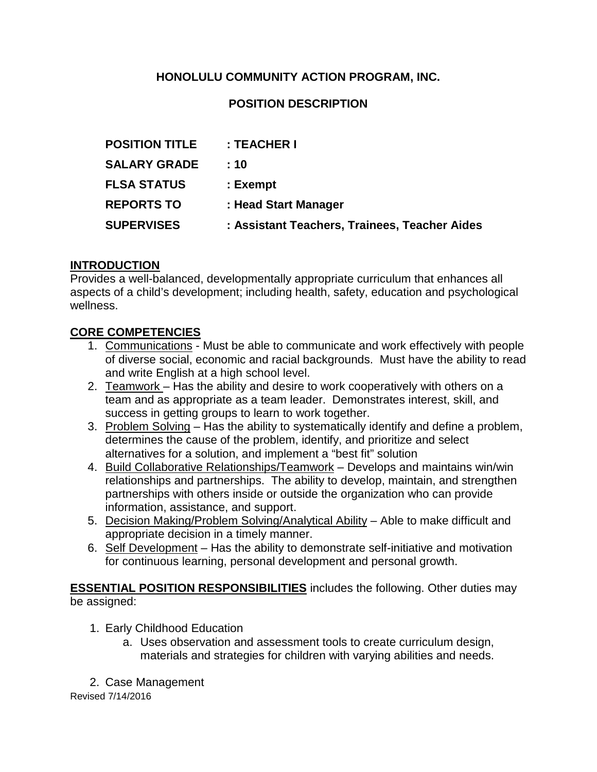#### **HONOLULU COMMUNITY ACTION PROGRAM, INC.**

#### **POSITION DESCRIPTION**

| <b>POSITION TITLE</b> | : TEACHER I                                   |
|-----------------------|-----------------------------------------------|
| <b>SALARY GRADE</b>   | : 10                                          |
| <b>FLSA STATUS</b>    | : Exempt                                      |
| <b>REPORTS TO</b>     | : Head Start Manager                          |
| <b>SUPERVISES</b>     | : Assistant Teachers, Trainees, Teacher Aides |

#### **INTRODUCTION**

Provides a well-balanced, developmentally appropriate curriculum that enhances all aspects of a child's development; including health, safety, education and psychological wellness.

#### **CORE COMPETENCIES**

- 1. Communications Must be able to communicate and work effectively with people of diverse social, economic and racial backgrounds. Must have the ability to read and write English at a high school level.
- 2. Teamwork Has the ability and desire to work cooperatively with others on a team and as appropriate as a team leader. Demonstrates interest, skill, and success in getting groups to learn to work together.
- 3. Problem Solving Has the ability to systematically identify and define a problem, determines the cause of the problem, identify, and prioritize and select alternatives for a solution, and implement a "best fit" solution
- 4. Build Collaborative Relationships/Teamwork Develops and maintains win/win relationships and partnerships. The ability to develop, maintain, and strengthen partnerships with others inside or outside the organization who can provide information, assistance, and support.
- 5. Decision Making/Problem Solving/Analytical Ability Able to make difficult and appropriate decision in a timely manner.
- 6. Self Development Has the ability to demonstrate self-initiative and motivation for continuous learning, personal development and personal growth.

**ESSENTIAL POSITION RESPONSIBILITIES** includes the following. Other duties may be assigned:

- 1. Early Childhood Education
	- a. Uses observation and assessment tools to create curriculum design, materials and strategies for children with varying abilities and needs.
- 2. Case Management

Revised 7/14/2016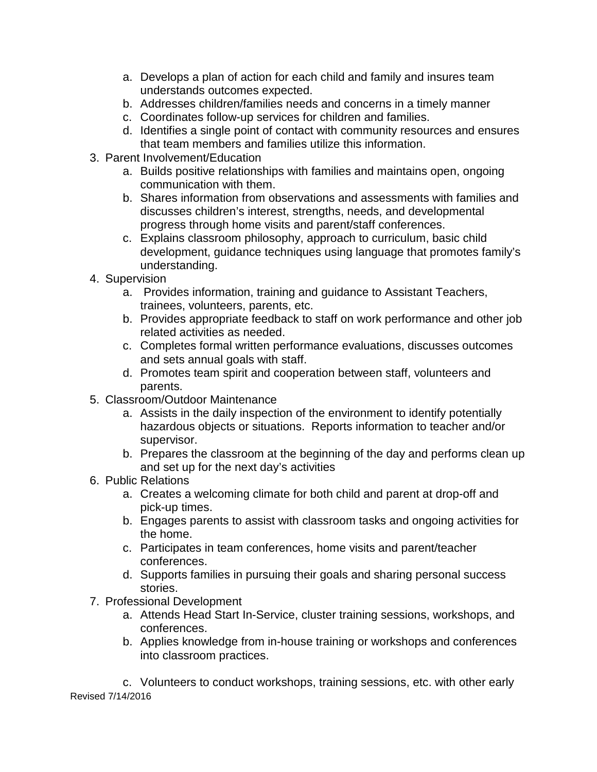- a. Develops a plan of action for each child and family and insures team understands outcomes expected.
- b. Addresses children/families needs and concerns in a timely manner
- c. Coordinates follow-up services for children and families.
- d. Identifies a single point of contact with community resources and ensures that team members and families utilize this information.
- 3. Parent Involvement/Education
	- a. Builds positive relationships with families and maintains open, ongoing communication with them.
	- b. Shares information from observations and assessments with families and discusses children's interest, strengths, needs, and developmental progress through home visits and parent/staff conferences.
	- c. Explains classroom philosophy, approach to curriculum, basic child development, guidance techniques using language that promotes family's understanding.
- 4. Supervision
	- a. Provides information, training and guidance to Assistant Teachers, trainees, volunteers, parents, etc.
	- b. Provides appropriate feedback to staff on work performance and other job related activities as needed.
	- c. Completes formal written performance evaluations, discusses outcomes and sets annual goals with staff.
	- d. Promotes team spirit and cooperation between staff, volunteers and parents.
- 5. Classroom/Outdoor Maintenance
	- a. Assists in the daily inspection of the environment to identify potentially hazardous objects or situations. Reports information to teacher and/or supervisor.
	- b. Prepares the classroom at the beginning of the day and performs clean up and set up for the next day's activities
- 6. Public Relations
	- a. Creates a welcoming climate for both child and parent at drop-off and pick-up times.
	- b. Engages parents to assist with classroom tasks and ongoing activities for the home.
	- c. Participates in team conferences, home visits and parent/teacher conferences.
	- d. Supports families in pursuing their goals and sharing personal success stories.
- 7. Professional Development
	- a. Attends Head Start In-Service, cluster training sessions, workshops, and conferences.
	- b. Applies knowledge from in-house training or workshops and conferences into classroom practices.

Revised 7/14/2016 c. Volunteers to conduct workshops, training sessions, etc. with other early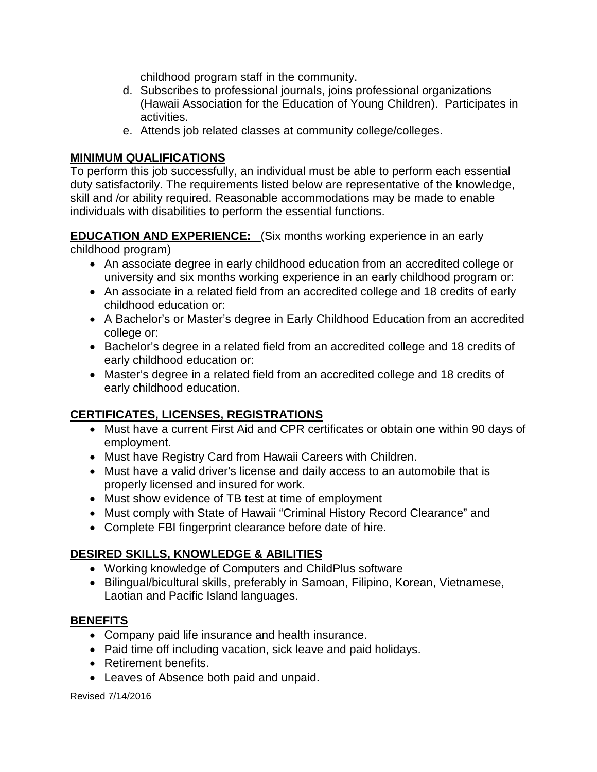childhood program staff in the community.

- d. Subscribes to professional journals, joins professional organizations (Hawaii Association for the Education of Young Children). Participates in activities.
- e. Attends job related classes at community college/colleges.

# **MINIMUM QUALIFICATIONS**

To perform this job successfully, an individual must be able to perform each essential duty satisfactorily. The requirements listed below are representative of the knowledge, skill and /or ability required. Reasonable accommodations may be made to enable individuals with disabilities to perform the essential functions.

# **EDUCATION AND EXPERIENCE:** (Six months working experience in an early

childhood program)

- An associate degree in early childhood education from an accredited college or university and six months working experience in an early childhood program or:
- An associate in a related field from an accredited college and 18 credits of early childhood education or:
- A Bachelor's or Master's degree in Early Childhood Education from an accredited college or:
- Bachelor's degree in a related field from an accredited college and 18 credits of early childhood education or:
- Master's degree in a related field from an accredited college and 18 credits of early childhood education.

# **CERTIFICATES, LICENSES, REGISTRATIONS**

- Must have a current First Aid and CPR certificates or obtain one within 90 days of employment.
- Must have Registry Card from Hawaii Careers with Children.
- Must have a valid driver's license and daily access to an automobile that is properly licensed and insured for work.
- Must show evidence of TB test at time of employment
- Must comply with State of Hawaii "Criminal History Record Clearance" and
- Complete FBI fingerprint clearance before date of hire.

# **DESIRED SKILLS, KNOWLEDGE & ABILITIES**

- Working knowledge of Computers and ChildPlus software
- Bilingual/bicultural skills, preferably in Samoan, Filipino, Korean, Vietnamese, Laotian and Pacific Island languages.

# **BENEFITS**

- Company paid life insurance and health insurance.
- Paid time off including vacation, sick leave and paid holidays.
- Retirement benefits.
- Leaves of Absence both paid and unpaid.

Revised 7/14/2016